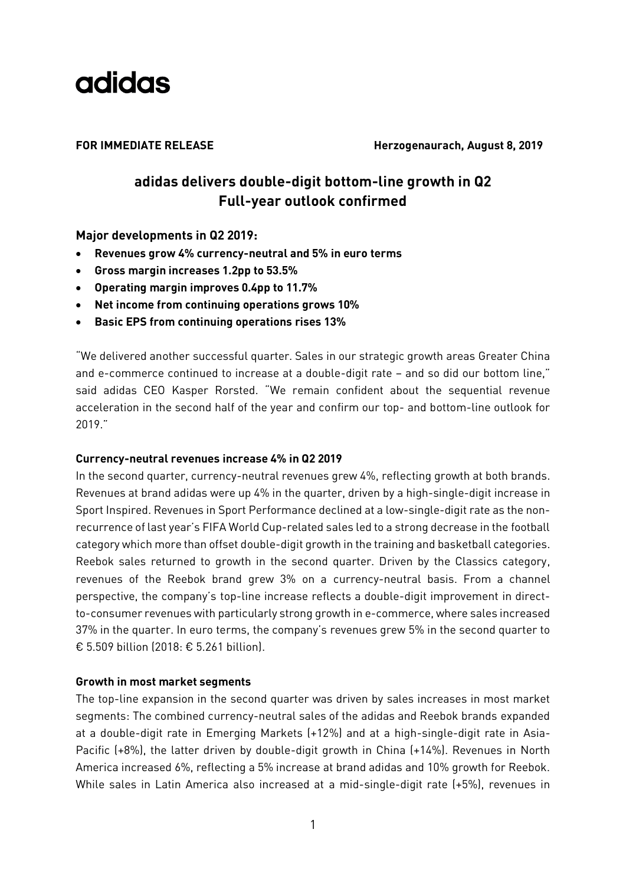

**FOR IMMEDIATE RELEASE Herzogenaurach, August 8, 2019**

### **adidas delivers double-digit bottom-line growth in Q2 Full-year outlook confirmed**

**Major developments in Q2 2019:**

- **Revenues grow 4% currency-neutral and 5% in euro terms**
- **Gross margin increases 1.2pp to 53.5%**
- **Operating margin improves 0.4pp to 11.7%**
- **Net income from continuing operations grows 10%**
- **Basic EPS from continuing operations rises 13%**

"We delivered another successful quarter. Sales in our strategic growth areas Greater China and e-commerce continued to increase at a double-digit rate – and so did our bottom line," said adidas CEO Kasper Rorsted. "We remain confident about the sequential revenue acceleration in the second half of the year and confirm our top- and bottom-line outlook for 2019."

#### **Currency-neutral revenues increase 4% in Q2 2019**

In the second quarter, currency-neutral revenues grew 4%, reflecting growth at both brands. Revenues at brand adidas were up 4% in the quarter, driven by a high-single-digit increase in Sport Inspired. Revenues in Sport Performance declined at a low-single-digit rate as the nonrecurrence of last year's FIFA World Cup-related sales led to a strong decrease in the football category which more than offset double-digit growth in the training and basketball categories. Reebok sales returned to growth in the second quarter. Driven by the Classics category, revenues of the Reebok brand grew 3% on a currency-neutral basis. From a channel perspective, the company's top-line increase reflects a double-digit improvement in directto-consumer revenues with particularly strong growth in e-commerce, where sales increased 37% in the quarter. In euro terms, the company's revenues grew 5% in the second quarter to € 5.509 billion (2018: € 5.261 billion).

#### **Growth in most market segments**

The top-line expansion in the second quarter was driven by sales increases in most market segments: The combined currency-neutral sales of the adidas and Reebok brands expanded at a double-digit rate in Emerging Markets (+12%) and at a high-single-digit rate in Asia-Pacific (+8%), the latter driven by double-digit growth in China (+14%). Revenues in North America increased 6%, reflecting a 5% increase at brand adidas and 10% growth for Reebok. While sales in Latin America also increased at a mid-single-digit rate (+5%), revenues in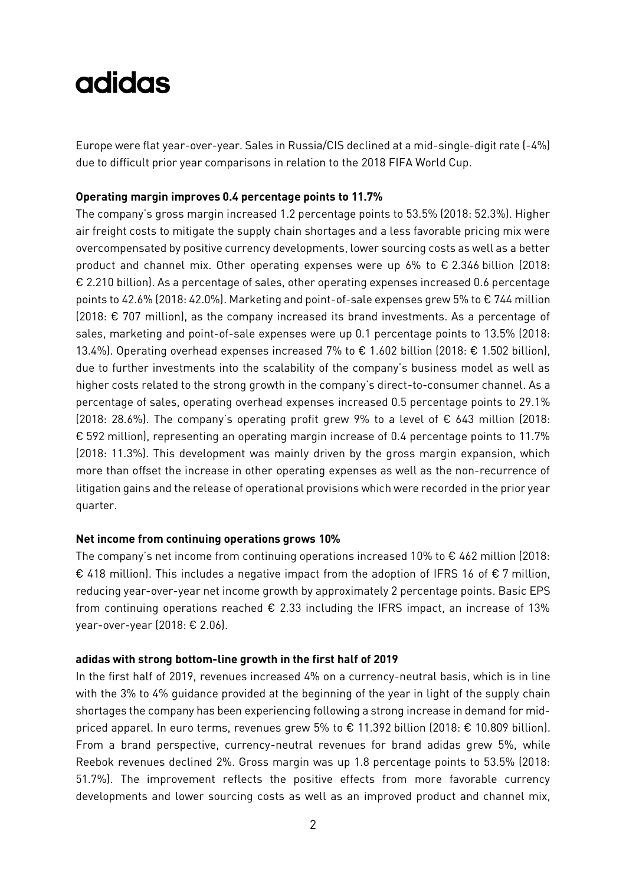Europe were flat year-over-year. Sales in Russia/CIS declined at a mid-single-digit rate (-4%) due to difficult prior year comparisons in relation to the 2018 FIFA World Cup.

#### **Operating margin improves 0.4 percentage points to 11.7%**

The company's gross margin increased 1.2 percentage points to 53.5% (2018: 52.3%). Higher air freight costs to mitigate the supply chain shortages and a less favorable pricing mix were overcompensated by positive currency developments, lower sourcing costs as well as a better product and channel mix. Other operating expenses were up 6% to  $\epsilon$  2.346 billion (2018: € 2.210 billion). As a percentage of sales, other operating expenses increased 0.6 percentage points to 42.6% (2018: 42.0%). Marketing and point-of-sale expenses grew 5% to € 744 million (2018: € 707 million), as the company increased its brand investments. As a percentage of sales, marketing and point-of-sale expenses were up 0.1 percentage points to 13.5% (2018: 13.4%). Operating overhead expenses increased 7% to € 1.602 billion (2018: € 1.502 billion), due to further investments into the scalability of the company's business model as well as higher costs related to the strong growth in the company's direct-to-consumer channel. As a percentage of sales, operating overhead expenses increased 0.5 percentage points to 29.1% (2018: 28.6%). The company's operating profit grew 9% to a level of  $\epsilon$  643 million (2018: € 592 million), representing an operating margin increase of 0.4 percentage points to 11.7% (2018: 11.3%). This development was mainly driven by the gross margin expansion, which more than offset the increase in other operating expenses as well as the non-recurrence of litigation gains and the release of operational provisions which were recorded in the prior year quarter.

#### **Net income from continuing operations grows 10%**

The company's net income from continuing operations increased 10% to  $\epsilon$  462 million (2018: € 418 million). This includes a negative impact from the adoption of IFRS 16 of € 7 million, reducing year-over-year net income growth by approximately 2 percentage points. Basic EPS from continuing operations reached  $\epsilon$  2.33 including the IFRS impact, an increase of 13% year-over-year (2018: € 2.06).

#### **adidas with strong bottom-line growth in the first half of 2019**

In the first half of 2019, revenues increased 4% on a currency-neutral basis, which is in line with the 3% to 4% guidance provided at the beginning of the year in light of the supply chain shortages the company has been experiencing following a strong increase in demand for midpriced apparel. In euro terms, revenues grew 5% to € 11.392 billion (2018: € 10.809 billion). From a brand perspective, currency-neutral revenues for brand adidas grew 5%, while Reebok revenues declined 2%. Gross margin was up 1.8 percentage points to 53.5% (2018: 51.7%). The improvement reflects the positive effects from more favorable currency developments and lower sourcing costs as well as an improved product and channel mix,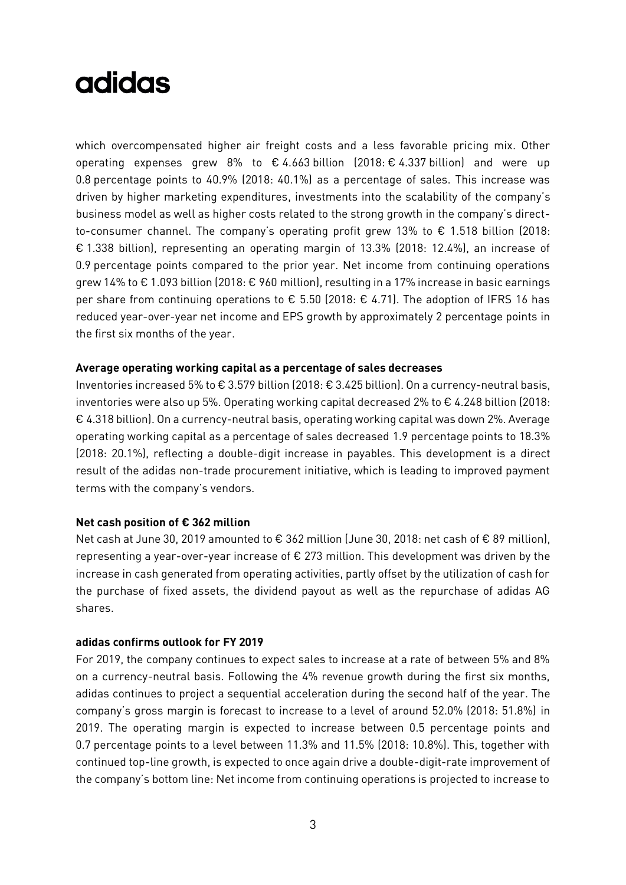which overcompensated higher air freight costs and a less favorable pricing mix. Other operating expenses grew 8% to  $\epsilon$  4.663 billion (2018:  $\epsilon$  4.337 billion) and were up 0.8 percentage points to 40.9% (2018: 40.1%) as a percentage of sales. This increase was driven by higher marketing expenditures, investments into the scalability of the company's business model as well as higher costs related to the strong growth in the company's directto-consumer channel. The company's operating profit grew 13% to € 1.518 billion (2018: € 1.338 billion), representing an operating margin of 13.3% (2018: 12.4%), an increase of 0.9 percentage points compared to the prior year. Net income from continuing operations grew 14% to € 1.093 billion (2018: € 960 million), resulting in a 17% increase in basic earnings per share from continuing operations to  $\epsilon$  5.50 (2018:  $\epsilon$  4.71). The adoption of IFRS 16 has reduced year-over-year net income and EPS growth by approximately 2 percentage points in the first six months of the year.

#### **Average operating working capital as a percentage of sales decreases**

Inventories increased 5% to € 3.579 billion (2018: € 3.425 billion). On a currency-neutral basis, inventories were also up 5%. Operating working capital decreased 2% to  $\epsilon$  4.248 billion (2018: € 4.318 billion). On a currency-neutral basis, operating working capital was down 2%. Average operating working capital as a percentage of sales decreased 1.9 percentage points to 18.3% (2018: 20.1%), reflecting a double-digit increase in payables. This development is a direct result of the adidas non-trade procurement initiative, which is leading to improved payment terms with the company's vendors.

#### **Net cash position of € 362 million**

Net cash at June 30, 2019 amounted to € 362 million (June 30, 2018: net cash of € 89 million), representing a year-over-year increase of € 273 million. This development was driven by the increase in cash generated from operating activities, partly offset by the utilization of cash for the purchase of fixed assets, the dividend payout as well as the repurchase of adidas AG shares.

#### **adidas confirms outlook for FY 2019**

For 2019, the company continues to expect sales to increase at a rate of between 5% and 8% on a currency-neutral basis. Following the 4% revenue growth during the first six months, adidas continues to project a sequential acceleration during the second half of the year. The company's gross margin is forecast to increase to a level of around 52.0% (2018: 51.8%) in 2019. The operating margin is expected to increase between 0.5 percentage points and 0.7 percentage points to a level between 11.3% and 11.5% (2018: 10.8%). This, together with continued top-line growth, is expected to once again drive a double-digit-rate improvement of the company's bottom line: Net income from continuing operations is projected to increase to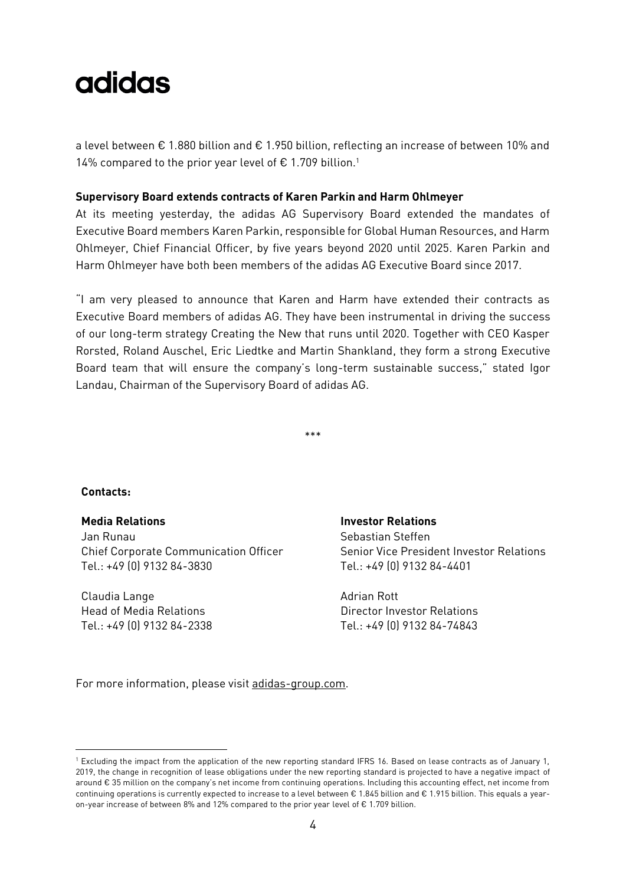a level between € 1.880 billion and € 1.950 billion, reflecting an increase of between 10% and 14% compared to the prior year level of  $\epsilon$  1.709 billion.<sup>1</sup>

#### **Supervisory Board extends contracts of Karen Parkin and Harm Ohlmeyer**

At its meeting yesterday, the adidas AG Supervisory Board extended the mandates of Executive Board members Karen Parkin, responsible for Global Human Resources, and Harm Ohlmeyer, Chief Financial Officer, by five years beyond 2020 until 2025. Karen Parkin and Harm Ohlmeyer have both been members of the adidas AG Executive Board since 2017.

"I am very pleased to announce that Karen and Harm have extended their contracts as Executive Board members of adidas AG. They have been instrumental in driving the success of our long-term strategy Creating the New that runs until 2020. Together with CEO Kasper Rorsted, Roland Auschel, Eric Liedtke and Martin Shankland, they form a strong Executive Board team that will ensure the company's long-term sustainable success," stated Igor Landau, Chairman of the Supervisory Board of adidas AG.

\*\*\*

#### **Contacts:**

-

**Media Relations Investor Relations** Jan Runau Chief Corporate Communication Officer Tel.: +49 (0) 9132 84-3830

Claudia Lange Head of Media Relations Tel.: +49 (0) 9132 84-2338

Sebastian Steffen Senior Vice President Investor Relations Tel.: +49 (0) 9132 84-4401

Adrian Rott Director Investor Relations Tel.: +49 (0) 9132 84-74843

For more information, please visit [adidas-group.com.](http://www.adidas-group.com/)

<sup>1</sup> Excluding the impact from the application of the new reporting standard IFRS 16. Based on lease contracts as of January 1, 2019, the change in recognition of lease obligations under the new reporting standard is projected to have a negative impact of around € 35 million on the company's net income from continuing operations. Including this accounting effect, net income from continuing operations is currently expected to increase to a level between € 1.845 billion and € 1.915 billion. This equals a yearon-year increase of between 8% and 12% compared to the prior year level of € 1.709 billion.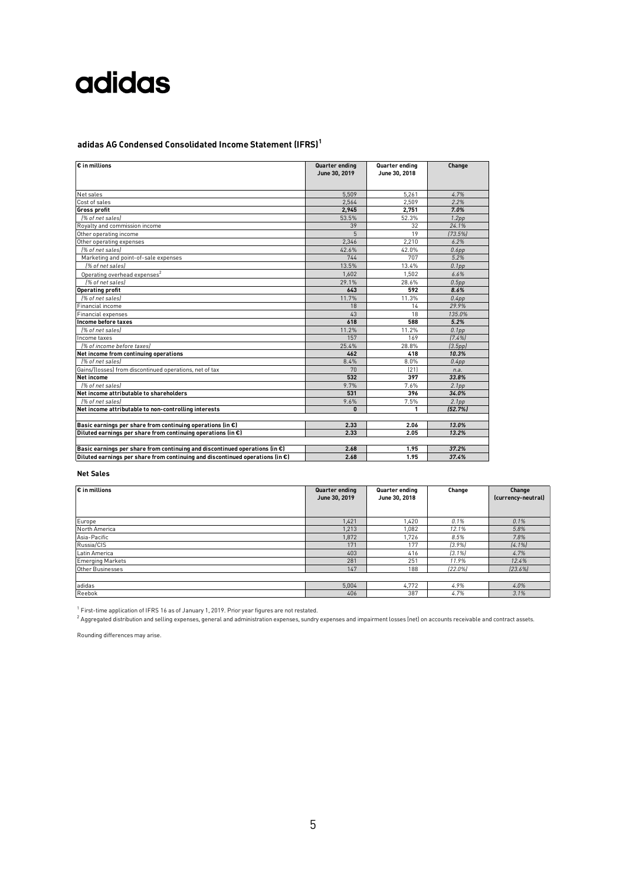### **adidas AG Condensed Consolidated Income Statement (IFRS)<sup>1</sup>**

| $\overline{\varepsilon}$ in millions                                                    | Quarter ending<br>June 30, 2019 | Quarter ending<br>June 30, 2018 | Change            |
|-----------------------------------------------------------------------------------------|---------------------------------|---------------------------------|-------------------|
| Net sales                                                                               | 5.509                           | 5.261                           | 4.7%              |
| Cost of sales                                                                           | 2.564                           | 2.509                           | 2.2%              |
| <b>Gross profit</b>                                                                     | 2,945                           | 2,751                           | 7.0%              |
| 1% of net sales)                                                                        | 53.5%                           | 52.3%                           | 1.2 <sub>pp</sub> |
| Royalty and commission income                                                           | 39                              | 32                              | 24.1%             |
| Other operating income                                                                  | 5                               | 19                              | (73.5%)           |
| Other operating expenses                                                                | 2,346                           | 2.210                           | 6.2%              |
| [% of net sales]                                                                        | 42.6%                           | 42.0%                           | 0.6pp             |
| Marketing and point-of-sale expenses                                                    | 744                             | 707                             | 5.2%              |
| [% of net sales]                                                                        | 13.5%                           | 13.4%                           | 0.1 <sub>pp</sub> |
| Operating overhead expenses <sup>2</sup>                                                | 1,602                           | 1,502                           | 6.6%              |
| 1% of net sales)                                                                        | 29.1%                           | 28.6%                           | 0.5pp             |
| <b>Operating profit</b>                                                                 | 643                             | 592                             | 8.6%              |
| [% of net sales]                                                                        | 11.7%                           | 11.3%                           | 0.4pp             |
| Financial income                                                                        | 18                              | 14                              | 29.9%             |
| <b>Financial expenses</b>                                                               | 43                              | 18                              | 135.0%            |
| Income before taxes                                                                     | 618                             | 588                             | 5.2%              |
| 1% of net sales                                                                         | 11.2%                           | 11.2%                           | 0.1 <sub>pp</sub> |
| Income taxes                                                                            | 157                             | 169                             | [7.4%]            |
| [% of income before taxes]                                                              | 25.4%                           | 28.8%                           | (3.5pp)           |
| Net income from continuing operations                                                   | 462                             | 418                             | 10.3%             |
| l% of net salesl                                                                        | 8.4%                            | 8.0%                            | 0.4pp             |
| Gains/(losses) from discontinued operations, net of tax                                 | 70                              | [21]                            | n.a.              |
| Net income                                                                              | 532                             | 397                             | 33.8%             |
| 1% of net sales)                                                                        | 9.7%                            | 7.6%                            | 2.1 <sub>pp</sub> |
| Net income attributable to shareholders                                                 | 531                             | 396                             | 34.0%             |
| 1% of net sales                                                                         | 9.6%                            | 7.5%                            | 2.1 <sub>pp</sub> |
| Net income attributable to non-controlling interests                                    | $\mathbf{u}$                    | 1                               | [52.7%]           |
| Basic earnings per share from continuing operations (in $\epsilon$ )                    | 2.33                            | 2.06                            | 13.0%             |
| Diluted earnings per share from continuing operations (in $\epsilon$ )                  | 2.33                            | 2.05                            | 13.2%             |
| Basic earnings per share from continuing and discontinued operations (in $\epsilon$ )   | 2.68                            | 1.95                            | 37.2%             |
| Diluted earnings per share from continuing and discontinued operations (in $\epsilon$ ) | 2.68                            | 1.95                            | 37.4%             |

#### **Net Sales**

| $\varepsilon$ in millions | Quarter ending<br>June 30, 2019 | Quarter ending<br>June 30, 2018 | Change    | Change<br>(currency-neutral) |
|---------------------------|---------------------------------|---------------------------------|-----------|------------------------------|
| Europe                    | 1,421                           | 1,420                           | 0.1%      | 0.1%                         |
| North America             | 1,213                           | 1,082                           | 12.1%     | 5.8%                         |
| Asia-Pacific              | 1,872                           | 1,726                           | 8.5%      | 7.8%                         |
| Russia/CIS                | 171                             | 177                             | [3.9%]    | [4.1%]                       |
| Latin America             | 403                             | 416                             | $[3.1\%]$ | 4.7%                         |
| <b>Emerging Markets</b>   | 281                             | 251                             | 11.9%     | 12.4%                        |
| Other Businesses          | 147                             | 188                             | [22.0%]   | [23.6%]                      |
|                           |                                 |                                 |           |                              |
| adidas                    | 5.004                           | 4,772                           | 4.9%      | 4.0%                         |
| Reebok                    | 406                             | 387                             | 4.7%      | 3.1%                         |

<sup>1</sup> First-time application of IFRS 16 as of January 1, 2019. Prior year figures are not restated.

 $^2$  Aggregated distribution and selling expenses, general and administration expenses, sundry expenses and impairment losses (net) on accounts receivable and contract assets.

Rounding differences may arise.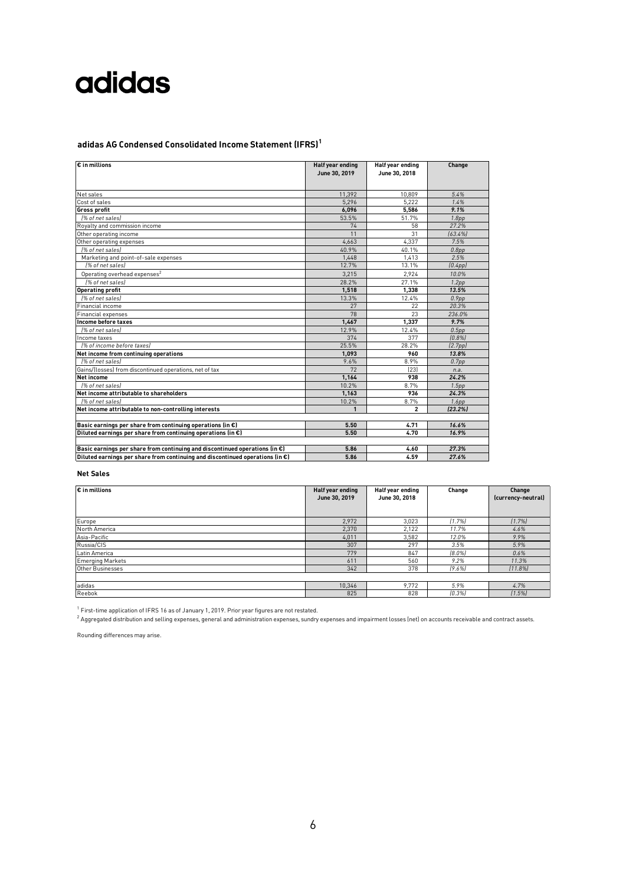### **adidas AG Condensed Consolidated Income Statement (IFRS)<sup>1</sup>**

| $\overline{\varepsilon}$ in millions                                                    | Half year ending<br>June 30, 2019 | Half year ending<br>June 30, 2018 | Change               |
|-----------------------------------------------------------------------------------------|-----------------------------------|-----------------------------------|----------------------|
| Net sales                                                                               | 11,392                            | 10,809                            | 5.4%                 |
| Cost of sales                                                                           | 5.296                             | 5.222                             | 1.4%                 |
| <b>Gross profit</b>                                                                     | 6,096                             | 5.586                             | 9.1%                 |
| (% of net sales)                                                                        | 53.5%                             | 51.7%                             | 1.8 <sub>pp</sub>    |
| Royalty and commission income                                                           | 74                                | 58                                | 27.2%                |
| Other operating income                                                                  | 11                                | 31                                | (63.4%)              |
| Other operating expenses                                                                | 4,663                             | 4,337                             | 7.5%                 |
| [% of net sales]                                                                        | 40.9%                             | 40.1%                             | 0.8pp                |
| Marketing and point-of-sale expenses                                                    | 1.448                             | 1.413                             | 2.5%                 |
| [% of net sales]                                                                        | 12.7%                             | 13.1%                             | (0.4pp)              |
| Operating overhead expenses <sup>2</sup>                                                | 3,215                             | 2,924                             | 10.0%                |
| 1% of net sales                                                                         | 28.2%                             | 27.1%                             | 1.2 <sub>pp</sub>    |
| <b>Operating profit</b>                                                                 | 1,518                             | 1.338                             | 13.5%                |
| [% of net sales]                                                                        | 13.3%                             | 12.4%                             | 0.9 <sub>DD</sub>    |
| Financial income                                                                        | 27                                | 22                                | 20.3%                |
| <b>Financial expenses</b>                                                               | 78                                | 23                                | 236.0%               |
| Income before taxes                                                                     | 1.467                             | 1,337                             | 9.7%                 |
| [% of net sales]                                                                        | 12.9%                             | 12.4%                             | 0.5pp                |
| Income taxes                                                                            | 374                               | 377                               | (0.8%                |
| 1% of income before taxes)                                                              | 25.5%                             | 28.2%                             | (2.7 <sub>pp</sub> ) |
| Net income from continuing operations                                                   | 1,093                             | 960                               | 13.8%                |
| [% of net sales]                                                                        | 9.6%                              | 8.9%                              | 0.7 <sub>pp</sub>    |
| Gains/(losses) from discontinued operations, net of tax                                 | 72                                | [23]                              | n.a.                 |
| Net income                                                                              | 1,164                             | 938                               | 24.2%                |
| [% of net sales]                                                                        | 10.2%                             | 8.7%                              | 1.5 <sub>pp</sub>    |
| Net income attributable to shareholders                                                 | 1,163                             | 936                               | 24.3%                |
| 1% of net sales                                                                         | 10.2%                             | 8.7%                              | 1.6 <sub>pp</sub>    |
| Net income attributable to non-controlling interests                                    | $\mathbf{1}$                      | $\overline{2}$                    | [23.2%]              |
| Basic earnings per share from continuing operations (in $\epsilon$ )                    | 5.50                              | 4.71                              | 16.6%                |
| Diluted earnings per share from continuing operations (in $\epsilon$ )                  | 5.50                              | 4.70                              | 16.9%                |
| Basic earnings per share from continuing and discontinued operations (in $\epsilon$ )   | 5.86                              | 4.60                              | 27.3%                |
| Diluted earnings per share from continuing and discontinued operations (in $\epsilon$ ) | 5.86                              | 4.59                              | 27.6%                |

#### **Net Sales**

| $\varepsilon$ in millions | Half year ending<br>June 30, 2019 | Half year ending<br>June 30, 2018 | Change    | Change<br>(currency-neutral) |
|---------------------------|-----------------------------------|-----------------------------------|-----------|------------------------------|
| Europe                    | 2,972                             | 3,023                             | [1.7%]    | [1.7%]                       |
| North America             | 2,370                             | 2,122                             | 11.7%     | 4.6%                         |
| Asia-Pacific              | 4,011                             | 3,582                             | 12.0%     | 9.9%                         |
| Russia/CIS                | 307                               | 297                               | 3.5%      | 5.9%                         |
| Latin America             | 779                               | 847                               | $[8.0\%]$ | 0.6%                         |
| <b>Emerging Markets</b>   | 611                               | 560                               | 9.2%      | 11.3%                        |
| Other Businesses          | 342                               | 378                               | $(9.6\%)$ | $(11.8\%)$                   |
|                           |                                   |                                   |           |                              |
| adidas                    | 10,346                            | 9.772                             | 5.9%      | 4.7%                         |
| Reebok                    | 825                               | 828                               | [0.3%]    | 11.5%                        |

<sup>1</sup> First-time application of IFRS 16 as of January 1, 2019. Prior year figures are not restated.

 $^2$  Aggregated distribution and selling expenses, general and administration expenses, sundry expenses and impairment losses (net) on accounts receivable and contract assets.

Rounding differences may arise.